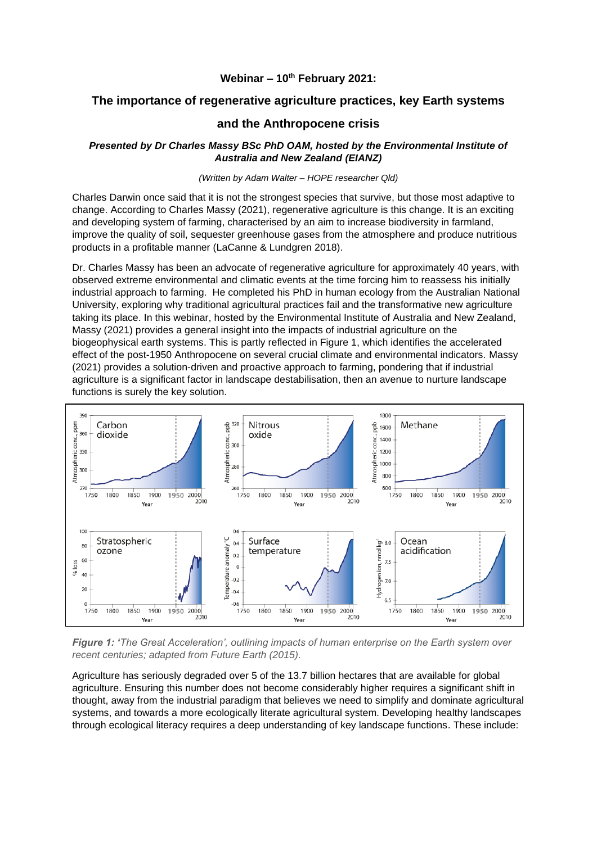### **Webinar – 10th February 2021:**

# **The importance of regenerative agriculture practices, key Earth systems**

## **and the Anthropocene crisis**

### *Presented by Dr Charles Massy BSc PhD OAM, hosted by the Environmental Institute of Australia and New Zealand (EIANZ)*

#### *(Written by Adam Walter – HOPE researcher Qld)*

Charles Darwin once said that it is not the strongest species that survive, but those most adaptive to change. According to Charles Massy (2021), regenerative agriculture is this change. It is an exciting and developing system of farming, characterised by an aim to increase biodiversity in farmland, improve the quality of soil, sequester greenhouse gases from the atmosphere and produce nutritious products in a profitable manner (LaCanne & Lundgren 2018).

Dr. Charles Massy has been an advocate of regenerative agriculture for approximately 40 years, with observed extreme environmental and climatic events at the time forcing him to reassess his initially industrial approach to farming. He completed his PhD in human ecology from the Australian National University, exploring why traditional agricultural practices fail and the transformative new agriculture taking its place. In this webinar, hosted by the Environmental Institute of Australia and New Zealand, Massy (2021) provides a general insight into the impacts of industrial agriculture on the biogeophysical earth systems. This is partly reflected in Figure 1, which identifies the accelerated effect of the post-1950 Anthropocene on several crucial climate and environmental indicators. Massy (2021) provides a solution-driven and proactive approach to farming, pondering that if industrial agriculture is a significant factor in landscape destabilisation, then an avenue to nurture landscape functions is surely the key solution.



*Figure 1: 'The Great Acceleration', outlining impacts of human enterprise on the Earth system over recent centuries; adapted from Future Earth (2015).*

Agriculture has seriously degraded over 5 of the 13.7 billion hectares that are available for global agriculture. Ensuring this number does not become considerably higher requires a significant shift in thought, away from the industrial paradigm that believes we need to simplify and dominate agricultural systems, and towards a more ecologically literate agricultural system. Developing healthy landscapes through ecological literacy requires a deep understanding of key landscape functions. These include: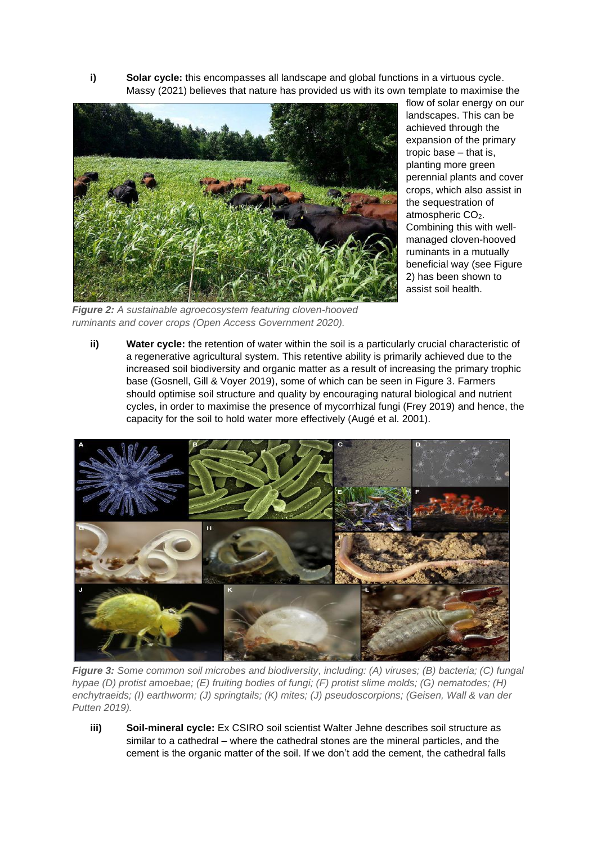**i) Solar cycle:** this encompasses all landscape and global functions in a virtuous cycle. Massy (2021) believes that nature has provided us with its own template to maximise the



flow of solar energy on our landscapes. This can be achieved through the expansion of the primary tropic base – that is, planting more green perennial plants and cover crops, which also assist in the sequestration of atmospheric CO<sub>2</sub>. Combining this with wellmanaged cloven-hooved ruminants in a mutually beneficial way (see Figure 2) has been shown to assist soil health.

*Figure 2: A sustainable agroecosystem featuring cloven-hooved ruminants and cover crops (Open Access Government 2020).*

**ii) Water cycle:** the retention of water within the soil is a particularly crucial characteristic of a regenerative agricultural system. This retentive ability is primarily achieved due to the increased soil biodiversity and organic matter as a result of increasing the primary trophic base (Gosnell, Gill & Voyer 2019), some of which can be seen in Figure 3. Farmers should optimise soil structure and quality by encouraging natural biological and nutrient cycles, in order to maximise the presence of mycorrhizal fungi (Frey 2019) and hence, the capacity for the soil to hold water more effectively (Augé et al. 2001).



*Figure 3: Some common soil microbes and biodiversity, including: (A) viruses; (B) bacteria; (C) fungal hypae (D) protist amoebae; (E) fruiting bodies of fungi; (F) protist slime molds; (G) nematodes; (H) enchytraeids; (I) earthworm; (J) springtails; (K) mites; (J) pseudoscorpions; (Geisen, Wall & van der Putten 2019).*

**iii) Soil-mineral cycle:** Ex CSIRO soil scientist Walter Jehne describes soil structure as similar to a cathedral – where the cathedral stones are the mineral particles, and the cement is the organic matter of the soil. If we don't add the cement, the cathedral falls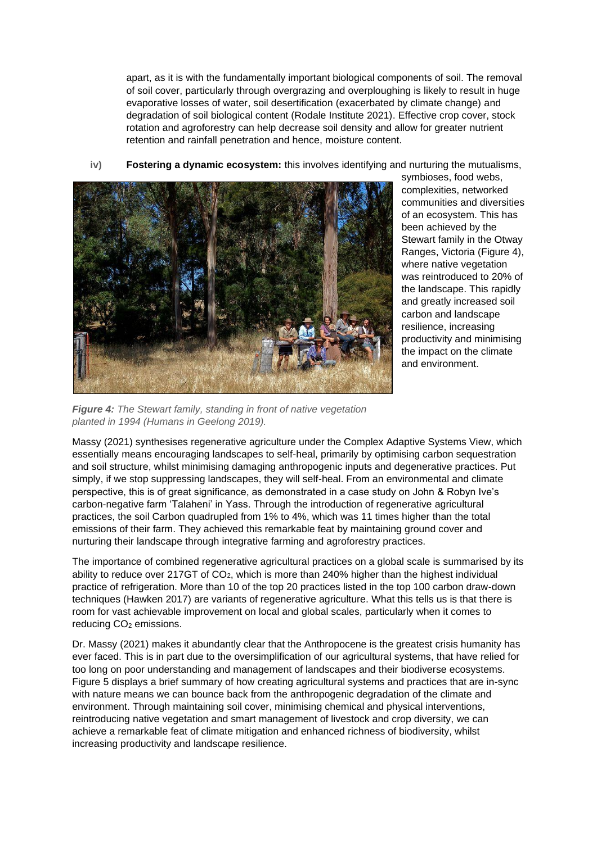apart, as it is with the fundamentally important biological components of soil. The removal of soil cover, particularly through overgrazing and overploughing is likely to result in huge evaporative losses of water, soil desertification (exacerbated by climate change) and degradation of soil biological content (Rodale Institute 2021). Effective crop cover, stock rotation and agroforestry can help decrease soil density and allow for greater nutrient retention and rainfall penetration and hence, moisture content.

**iv) Fostering a dynamic ecosystem:** this involves identifying and nurturing the mutualisms,



symbioses, food webs, complexities, networked communities and diversities of an ecosystem. This has been achieved by the Stewart family in the Otway Ranges, Victoria (Figure 4), where native vegetation was reintroduced to 20% of the landscape. This rapidly and greatly increased soil carbon and landscape resilience, increasing productivity and minimising the impact on the climate and environment.

*Figure 4: The Stewart family, standing in front of native vegetation planted in 1994 (Humans in Geelong 2019).* 

Massy (2021) synthesises regenerative agriculture under the Complex Adaptive Systems View, which essentially means encouraging landscapes to self-heal, primarily by optimising carbon sequestration and soil structure, whilst minimising damaging anthropogenic inputs and degenerative practices. Put simply, if we stop suppressing landscapes, they will self-heal. From an environmental and climate perspective, this is of great significance, as demonstrated in a case study on John & Robyn Ive's carbon-negative farm 'Talaheni' in Yass. Through the introduction of regenerative agricultural practices, the soil Carbon quadrupled from 1% to 4%, which was 11 times higher than the total emissions of their farm. They achieved this remarkable feat by maintaining ground cover and nurturing their landscape through integrative farming and agroforestry practices.

The importance of combined regenerative agricultural practices on a global scale is summarised by its ability to reduce over 217GT of  $CO<sub>2</sub>$ , which is more than 240% higher than the highest individual practice of refrigeration. More than 10 of the top 20 practices listed in the top 100 carbon draw-down techniques (Hawken 2017) are variants of regenerative agriculture. What this tells us is that there is room for vast achievable improvement on local and global scales, particularly when it comes to reducing CO<sub>2</sub> emissions.

Dr. Massy (2021) makes it abundantly clear that the Anthropocene is the greatest crisis humanity has ever faced. This is in part due to the oversimplification of our agricultural systems, that have relied for too long on poor understanding and management of landscapes and their biodiverse ecosystems. Figure 5 displays a brief summary of how creating agricultural systems and practices that are in-sync with nature means we can bounce back from the anthropogenic degradation of the climate and environment. Through maintaining soil cover, minimising chemical and physical interventions, reintroducing native vegetation and smart management of livestock and crop diversity, we can achieve a remarkable feat of climate mitigation and enhanced richness of biodiversity, whilst increasing productivity and landscape resilience.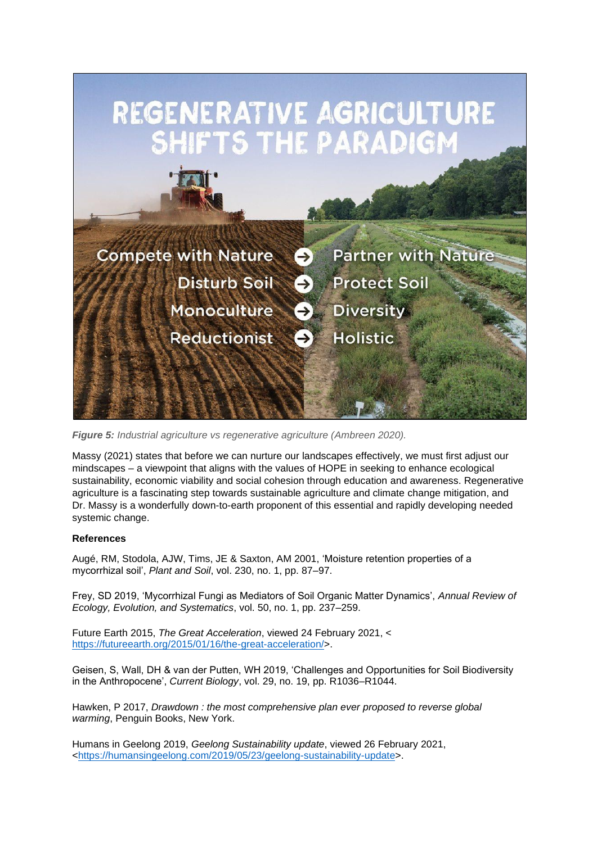

*Figure 5: Industrial agriculture vs regenerative agriculture (Ambreen 2020).*

Massy (2021) states that before we can nurture our landscapes effectively, we must first adjust our mindscapes – a viewpoint that aligns with the values of HOPE in seeking to enhance ecological sustainability, economic viability and social cohesion through education and awareness. Regenerative agriculture is a fascinating step towards sustainable agriculture and climate change mitigation, and Dr. Massy is a wonderfully down-to-earth proponent of this essential and rapidly developing needed systemic change.

### **References**

Augé, RM, Stodola, AJW, Tims, JE & Saxton, AM 2001, 'Moisture retention properties of a mycorrhizal soil', *Plant and Soil*, vol. 230, no. 1, pp. 87–97.

Frey, SD 2019, 'Mycorrhizal Fungi as Mediators of Soil Organic Matter Dynamics', *Annual Review of Ecology, Evolution, and Systematics*, vol. 50, no. 1, pp. 237–259.

Future Earth 2015, *The Great Acceleration*, viewed 24 February 2021, < https://futureearth.org/2015/01/16/the-great-acceleration/>.

Geisen, S, Wall, DH & van der Putten, WH 2019, 'Challenges and Opportunities for Soil Biodiversity in the Anthropocene', *Current Biology*, vol. 29, no. 19, pp. R1036–R1044.

Hawken, P 2017, *Drawdown : the most comprehensive plan ever proposed to reverse global warming*, Penguin Books, New York.

Humans in Geelong 2019, *Geelong Sustainability update*, viewed 26 February 2021, <https://humansingeelong.com/2019/05/23/geelong-sustainability-update>.